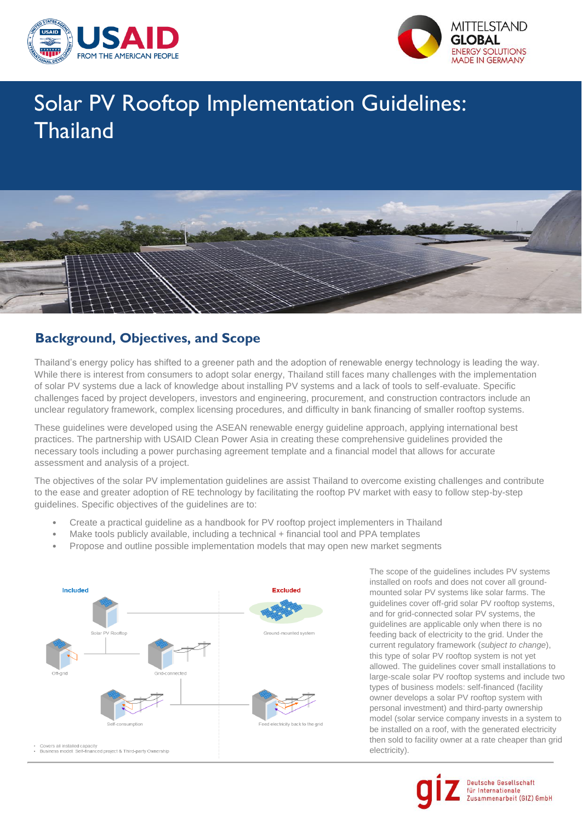



# Solar PV Rooftop Implementation Guidelines: **Thailand**



#### **Background, Objectives, and Scope**

Thailand's energy policy has shifted to a greener path and the adoption of renewable energy technology is leading the way. While there is interest from consumers to adopt solar energy, Thailand still faces many challenges with the implementation of solar PV systems due a lack of knowledge about installing PV systems and a lack of tools to self-evaluate. Specific challenges faced by project developers, investors and engineering, procurement, and construction contractors include an unclear regulatory framework, complex licensing procedures, and difficulty in bank financing of smaller rooftop systems.

These guidelines were developed using the ASEAN renewable energy guideline approach, applying international best practices. The partnership with USAID Clean Power Asia in creating these comprehensive guidelines provided the necessary tools including a power purchasing agreement template and a financial model that allows for accurate assessment and analysis of a project.

The objectives of the solar PV implementation guidelines are assist Thailand to overcome existing challenges and contribute to the ease and greater adoption of RE technology by facilitating the rooftop PV market with easy to follow step-by-step guidelines. Specific objectives of the guidelines are to:

- Create a practical guideline as a handbook for PV rooftop project implementers in Thailand
- Make tools publicly available, including a technical + financial tool and PPA templates
- Propose and outline possible implementation models that may open new market segments



The scope of the guidelines includes PV systems installed on roofs and does not cover all groundmounted solar PV systems like solar farms. The guidelines cover off-grid solar PV rooftop systems, and for grid-connected solar PV systems, the guidelines are applicable only when there is no feeding back of electricity to the grid. Under the current regulatory framework (*subject to change*), this type of solar PV rooftop system is not yet allowed. The guidelines cover small installations to large-scale solar PV rooftop systems and include two types of business models: self-financed (facility owner develops a solar PV rooftop system with personal investment) and third-party ownership model (solar service company invests in a system to be installed on a roof, with the generated electricity then sold to facility owner at a rate cheaper than grid electricity).